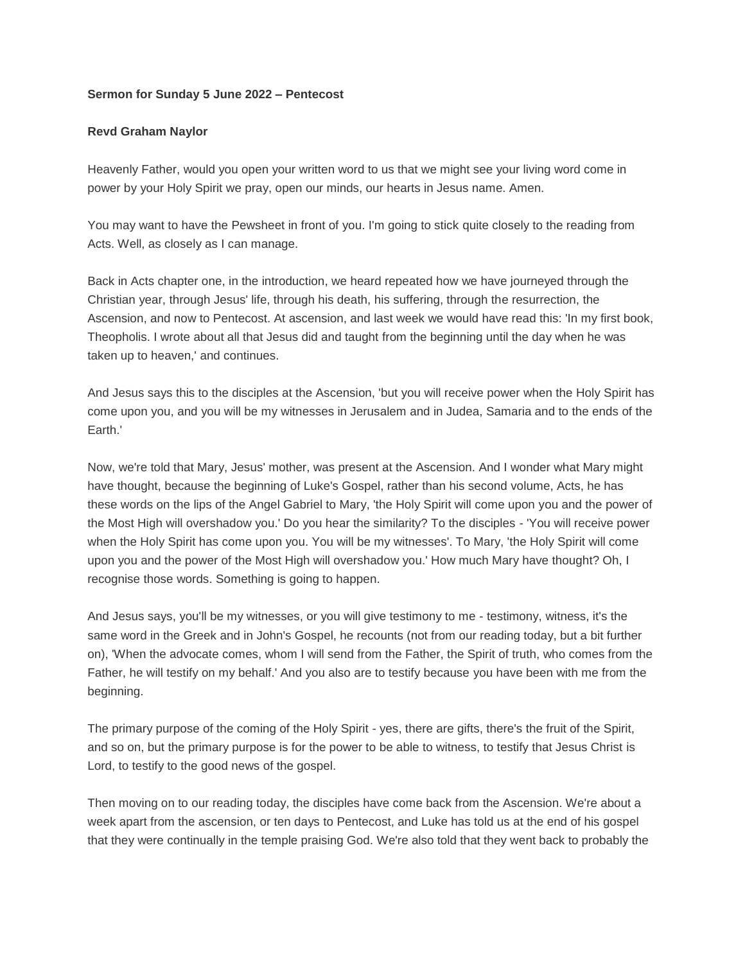## **Sermon for Sunday 5 June 2022 – Pentecost**

## **Revd Graham Naylor**

Heavenly Father, would you open your written word to us that we might see your living word come in power by your Holy Spirit we pray, open our minds, our hearts in Jesus name. Amen.

You may want to have the Pewsheet in front of you. I'm going to stick quite closely to the reading from Acts. Well, as closely as I can manage.

Back in Acts chapter one, in the introduction, we heard repeated how we have journeyed through the Christian year, through Jesus' life, through his death, his suffering, through the resurrection, the Ascension, and now to Pentecost. At ascension, and last week we would have read this: 'In my first book, Theopholis. I wrote about all that Jesus did and taught from the beginning until the day when he was taken up to heaven,' and continues.

And Jesus says this to the disciples at the Ascension, 'but you will receive power when the Holy Spirit has come upon you, and you will be my witnesses in Jerusalem and in Judea, Samaria and to the ends of the Earth.'

Now, we're told that Mary, Jesus' mother, was present at the Ascension. And I wonder what Mary might have thought, because the beginning of Luke's Gospel, rather than his second volume, Acts, he has these words on the lips of the Angel Gabriel to Mary, 'the Holy Spirit will come upon you and the power of the Most High will overshadow you.' Do you hear the similarity? To the disciples - 'You will receive power when the Holy Spirit has come upon you. You will be my witnesses'. To Mary, 'the Holy Spirit will come upon you and the power of the Most High will overshadow you.' How much Mary have thought? Oh, I recognise those words. Something is going to happen.

And Jesus says, you'll be my witnesses, or you will give testimony to me - testimony, witness, it's the same word in the Greek and in John's Gospel, he recounts (not from our reading today, but a bit further on), 'When the advocate comes, whom I will send from the Father, the Spirit of truth, who comes from the Father, he will testify on my behalf.' And you also are to testify because you have been with me from the beginning.

The primary purpose of the coming of the Holy Spirit - yes, there are gifts, there's the fruit of the Spirit, and so on, but the primary purpose is for the power to be able to witness, to testify that Jesus Christ is Lord, to testify to the good news of the gospel.

Then moving on to our reading today, the disciples have come back from the Ascension. We're about a week apart from the ascension, or ten days to Pentecost, and Luke has told us at the end of his gospel that they were continually in the temple praising God. We're also told that they went back to probably the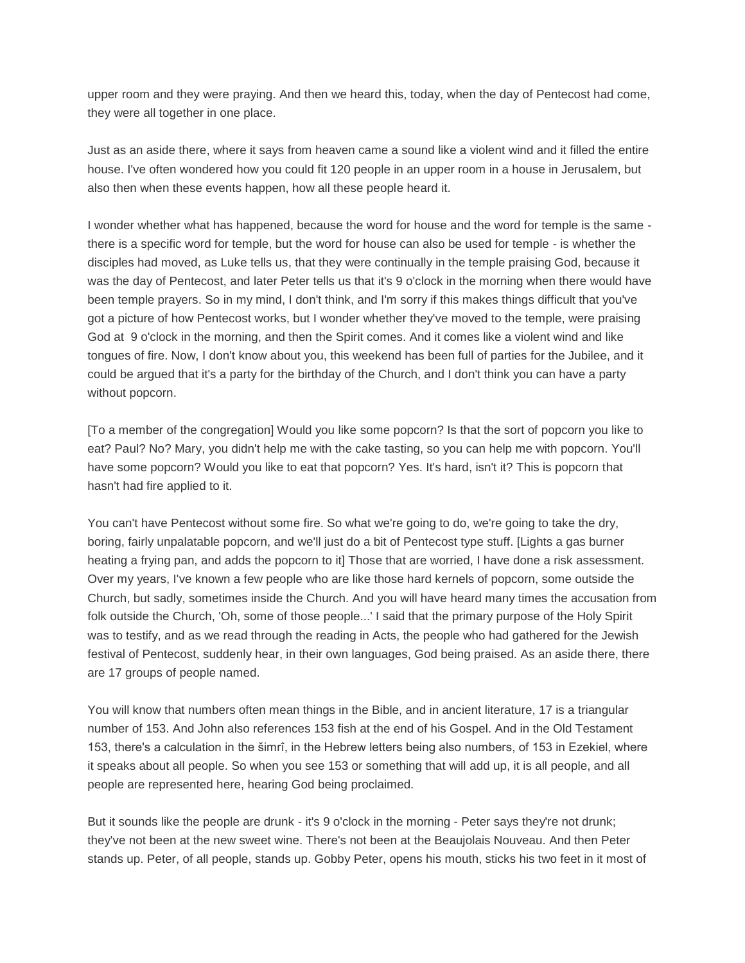upper room and they were praying. And then we heard this, today, when the day of Pentecost had come, they were all together in one place.

Just as an aside there, where it says from heaven came a sound like a violent wind and it filled the entire house. I've often wondered how you could fit 120 people in an upper room in a house in Jerusalem, but also then when these events happen, how all these people heard it.

I wonder whether what has happened, because the word for house and the word for temple is the same there is a specific word for temple, but the word for house can also be used for temple - is whether the disciples had moved, as Luke tells us, that they were continually in the temple praising God, because it was the day of Pentecost, and later Peter tells us that it's 9 o'clock in the morning when there would have been temple prayers. So in my mind, I don't think, and I'm sorry if this makes things difficult that you've got a picture of how Pentecost works, but I wonder whether they've moved to the temple, were praising God at 9 o'clock in the morning, and then the Spirit comes. And it comes like a violent wind and like tongues of fire. Now, I don't know about you, this weekend has been full of parties for the Jubilee, and it could be argued that it's a party for the birthday of the Church, and I don't think you can have a party without popcorn.

[To a member of the congregation] Would you like some popcorn? Is that the sort of popcorn you like to eat? Paul? No? Mary, you didn't help me with the cake tasting, so you can help me with popcorn. You'll have some popcorn? Would you like to eat that popcorn? Yes. It's hard, isn't it? This is popcorn that hasn't had fire applied to it.

You can't have Pentecost without some fire. So what we're going to do, we're going to take the dry, boring, fairly unpalatable popcorn, and we'll just do a bit of Pentecost type stuff. [Lights a gas burner heating a frying pan, and adds the popcorn to it] Those that are worried, I have done a risk assessment. Over my years, I've known a few people who are like those hard kernels of popcorn, some outside the Church, but sadly, sometimes inside the Church. And you will have heard many times the accusation from folk outside the Church, 'Oh, some of those people...' I said that the primary purpose of the Holy Spirit was to testify, and as we read through the reading in Acts, the people who had gathered for the Jewish festival of Pentecost, suddenly hear, in their own languages, God being praised. As an aside there, there are 17 groups of people named.

You will know that numbers often mean things in the Bible, and in ancient literature, 17 is a triangular number of 153. And John also references 153 fish at the end of his Gospel. And in the Old Testament 153, there's a calculation in the šimrî, in the Hebrew letters being also numbers, of 153 in Ezekiel, where it speaks about all people. So when you see 153 or something that will add up, it is all people, and all people are represented here, hearing God being proclaimed.

But it sounds like the people are drunk - it's 9 o'clock in the morning - Peter says they're not drunk; they've not been at the new sweet wine. There's not been at the Beaujolais Nouveau. And then Peter stands up. Peter, of all people, stands up. Gobby Peter, opens his mouth, sticks his two feet in it most of